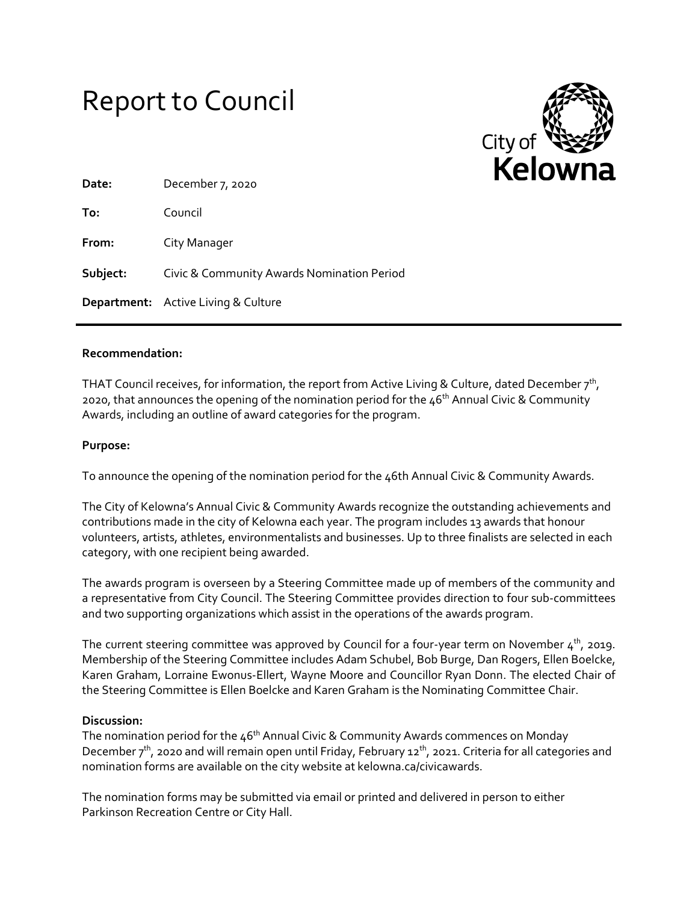



| Date:    | December 7, 2020                           |
|----------|--------------------------------------------|
| To:      | Council                                    |
| From:    | City Manager                               |
| Subject: | Civic & Community Awards Nomination Period |
|          | <b>Department:</b> Active Living & Culture |

## **Recommendation:**

THAT Council receives, for information, the report from Active Living & Culture, dated December  $7<sup>th</sup>$ , 2020, that announces the opening of the nomination period for the  $46<sup>th</sup>$  Annual Civic & Community Awards, including an outline of award categories for the program.

## **Purpose:**

To announce the opening of the nomination period for the 46th Annual Civic & Community Awards.

The City of Kelowna's Annual Civic & Community Awards recognize the outstanding achievements and contributions made in the city of Kelowna each year. The program includes 13 awards that honour volunteers, artists, athletes, environmentalists and businesses. Up to three finalists are selected in each category, with one recipient being awarded.

The awards program is overseen by a Steering Committee made up of members of the community and a representative from City Council. The Steering Committee provides direction to four sub-committees and two supporting organizations which assist in the operations of the awards program.

The current steering committee was approved by Council for a four-year term on November  $4<sup>th</sup>$ , 2019. Membership of the Steering Committee includes Adam Schubel, Bob Burge, Dan Rogers, Ellen Boelcke, Karen Graham, Lorraine Ewonus-Ellert, Wayne Moore and Councillor Ryan Donn. The elected Chair of the Steering Committee is Ellen Boelcke and Karen Graham is the Nominating Committee Chair.

## **Discussion:**

The nomination period for the  $46<sup>th</sup>$  Annual Civic & Community Awards commences on Monday December  $7<sup>th</sup>$ , 2020 and will remain open until Friday, February 12<sup>th</sup>, 2021. Criteria for all categories and nomination forms are available on the city website at kelowna.ca/civicawards.

The nomination forms may be submitted via email or printed and delivered in person to either Parkinson Recreation Centre or City Hall.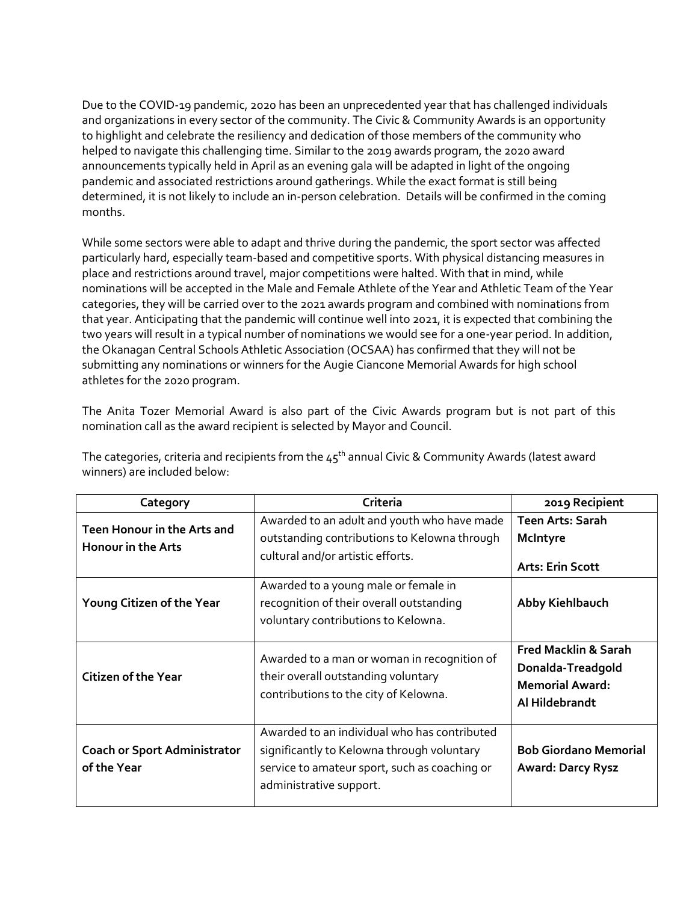Due to the COVID-19 pandemic, 2020 has been an unprecedented year that has challenged individuals and organizations in every sector of the community. The Civic & Community Awards is an opportunity to highlight and celebrate the resiliency and dedication of those members of the community who helped to navigate this challenging time. Similar to the 2019 awards program, the 2020 award announcements typically held in April as an evening gala will be adapted in light of the ongoing pandemic and associated restrictions around gatherings. While the exact format is still being determined, it is not likely to include an in-person celebration. Details will be confirmed in the coming months.

While some sectors were able to adapt and thrive during the pandemic, the sport sector was affected particularly hard, especially team-based and competitive sports. With physical distancing measures in place and restrictions around travel, major competitions were halted. With that in mind, while nominations will be accepted in the Male and Female Athlete of the Year and Athletic Team of the Year categories, they will be carried over to the 2021 awards program and combined with nominations from that year. Anticipating that the pandemic will continue well into 2021, it is expected that combining the two years will result in a typical number of nominations we would see for a one-year period. In addition, the Okanagan Central Schools Athletic Association (OCSAA) has confirmed that they will not be submitting any nominations or winners for the Augie Ciancone Memorial Awards for high school athletes for the 2020 program.

The Anita Tozer Memorial Award is also part of the Civic Awards program but is not part of this nomination call as the award recipient is selected by Mayor and Council.

| Category                                                 | Criteria                                                                                                                                                               | 2019 Recipient                                                                                   |
|----------------------------------------------------------|------------------------------------------------------------------------------------------------------------------------------------------------------------------------|--------------------------------------------------------------------------------------------------|
| Teen Honour in the Arts and<br><b>Honour in the Arts</b> | Awarded to an adult and youth who have made<br>outstanding contributions to Kelowna through<br>cultural and/or artistic efforts.                                       | Teen Arts: Sarah<br>McIntyre<br><b>Arts: Erin Scott</b>                                          |
| Young Citizen of the Year                                | Awarded to a young male or female in<br>recognition of their overall outstanding<br>voluntary contributions to Kelowna.                                                | Abby Kiehlbauch                                                                                  |
| <b>Citizen of the Year</b>                               | Awarded to a man or woman in recognition of<br>their overall outstanding voluntary<br>contributions to the city of Kelowna.                                            | <b>Fred Macklin &amp; Sarah</b><br>Donalda-Treadgold<br><b>Memorial Award:</b><br>Al Hildebrandt |
| <b>Coach or Sport Administrator</b><br>of the Year       | Awarded to an individual who has contributed<br>significantly to Kelowna through voluntary<br>service to amateur sport, such as coaching or<br>administrative support. | <b>Bob Giordano Memorial</b><br><b>Award: Darcy Rysz</b>                                         |

The categories, criteria and recipients from the  $45<sup>th</sup>$  annual Civic & Community Awards (latest award winners) are included below: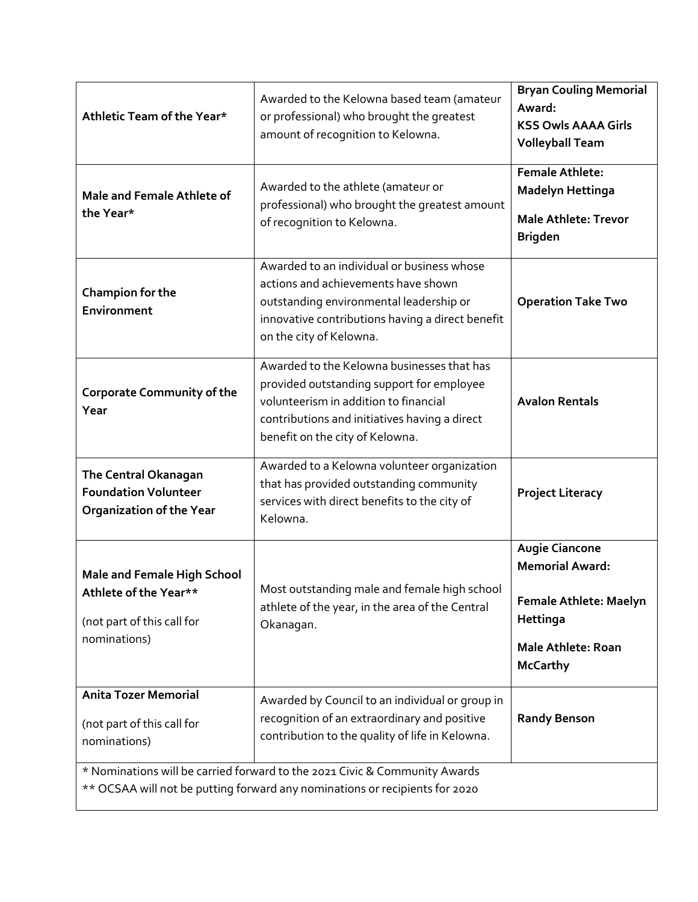| Athletic Team of the Year*                                                                                                                                | Awarded to the Kelowna based team (amateur<br>or professional) who brought the greatest<br>amount of recognition to Kelowna.                                                                                         | <b>Bryan Couling Memorial</b><br>Award:<br><b>KSS Owls AAAA Girls</b><br><b>Volleyball Team</b>                                       |  |
|-----------------------------------------------------------------------------------------------------------------------------------------------------------|----------------------------------------------------------------------------------------------------------------------------------------------------------------------------------------------------------------------|---------------------------------------------------------------------------------------------------------------------------------------|--|
| Male and Female Athlete of<br>the Year*                                                                                                                   | Awarded to the athlete (amateur or<br>professional) who brought the greatest amount<br>of recognition to Kelowna.                                                                                                    | <b>Female Athlete:</b><br><b>Madelyn Hettinga</b><br><b>Male Athlete: Trevor</b><br><b>Brigden</b>                                    |  |
| Champion for the<br>Environment                                                                                                                           | Awarded to an individual or business whose<br>actions and achievements have shown<br>outstanding environmental leadership or<br>innovative contributions having a direct benefit<br>on the city of Kelowna.          | <b>Operation Take Two</b>                                                                                                             |  |
| <b>Corporate Community of the</b><br>Year                                                                                                                 | Awarded to the Kelowna businesses that has<br>provided outstanding support for employee<br>volunteerism in addition to financial<br>contributions and initiatives having a direct<br>benefit on the city of Kelowna. | <b>Avalon Rentals</b>                                                                                                                 |  |
| The Central Okanagan<br><b>Foundation Volunteer</b><br><b>Organization of the Year</b>                                                                    | Awarded to a Kelowna volunteer organization<br>that has provided outstanding community<br>services with direct benefits to the city of<br>Kelowna.                                                                   | <b>Project Literacy</b>                                                                                                               |  |
| <b>Male and Female High School</b><br>Athlete of the Year**<br>(not part of this call for<br>nominations)                                                 | Most outstanding male and female high school<br>athlete of the year, in the area of the Central<br>Okanagan.                                                                                                         | <b>Augie Ciancone</b><br><b>Memorial Award:</b><br>Female Athlete: Maelyn<br>Hettinga<br><b>Male Athlete: Roan</b><br><b>McCarthy</b> |  |
| <b>Anita Tozer Memorial</b><br>(not part of this call for<br>nominations)                                                                                 | Awarded by Council to an individual or group in<br>recognition of an extraordinary and positive<br>contribution to the quality of life in Kelowna.                                                                   | <b>Randy Benson</b>                                                                                                                   |  |
| * Nominations will be carried forward to the 2021 Civic & Community Awards<br>** OCSAA will not be putting forward any nominations or recipients for 2020 |                                                                                                                                                                                                                      |                                                                                                                                       |  |